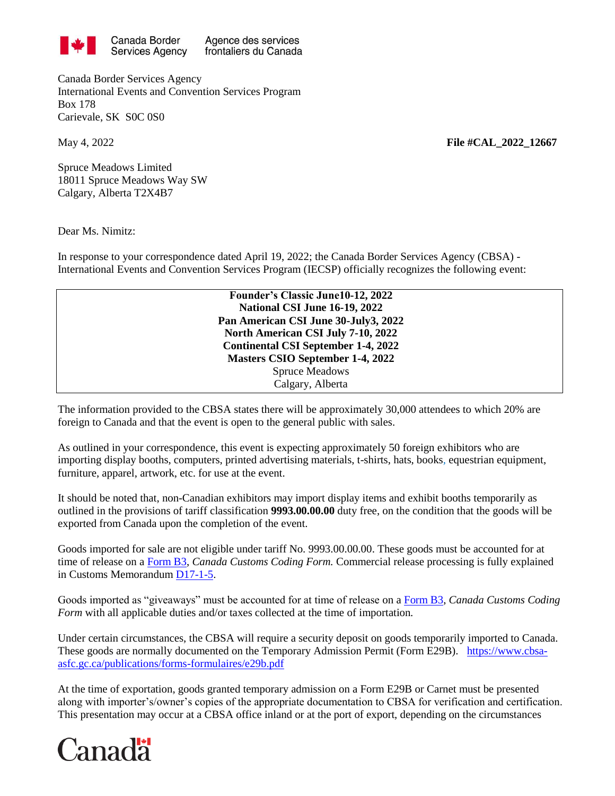

Agence des services frontaliers du Canada

Canada Border Services Agency International Events and Convention Services Program Box 178 Carievale, SK S0C 0S0

Spruce Meadows Limited 18011 Spruce Meadows Way SW Calgary, Alberta T2X4B7

Dear Ms. Nimitz:

In response to your correspondence dated April 19, 2022; the Canada Border Services Agency (CBSA) - International Events and Convention Services Program (IECSP) officially recognizes the following event:

> **Founder's Classic June10-12, 2022 National CSI June 16-19, 2022 Pan American CSI June 30-July3, 2022 North American CSI July 7-10, 2022 Continental CSI September 1-4, 2022 Masters CSIO September 1-4, 2022** Spruce Meadows Calgary, Alberta

The information provided to the CBSA states there will be approximately 30,000 attendees to which 20% are foreign to Canada and that the event is open to the general public with sales.

As outlined in your correspondence, this event is expecting approximately 50 foreign exhibitors who are importing display booths, computers, printed advertising materials, t-shirts, hats, books, equestrian equipment, furniture, apparel, artwork, etc. for use at the event.

It should be noted that, non-Canadian exhibitors may import display items and exhibit booths temporarily as outlined in the provisions of tariff classification **9993.00.00.00** duty free, on the condition that the goods will be exported from Canada upon the completion of the event.

Goods imported for sale are not eligible under tariff No. 9993.00.00.00. These goods must be accounted for at time of release on a [Form B3,](http://www.cbsa-asfc.gc.ca/publications/forms-formulaires/b3-3.pdf) *Canada Customs Coding Form.* Commercial release processing is fully explained in Customs Memorandum [D17-1-5.](http://www.cbsa-asfc.gc.ca/publications/dm-md/d17/d17-1-5-eng.pdf)

Goods imported as "giveaways" must be accounted for at time of release on a [Form B3,](http://www.cbsa-asfc.gc.ca/publications/forms-formulaires/b3-3.pdf) *Canada Customs Coding Form* with all applicable duties and/or taxes collected at the time of importation*.*

Under certain circumstances, the CBSA will require a security deposit on goods temporarily imported to Canada. These goods are normally documented on the Temporary Admission Permit (Form E29B). [https://www.cbsa](https://www.cbsa-asfc.gc.ca/publications/forms-formulaires/e29b.pdf)[asfc.gc.ca/publications/forms-formulaires/e29b.pdf](https://www.cbsa-asfc.gc.ca/publications/forms-formulaires/e29b.pdf)

At the time of exportation, goods granted temporary admission on a Form E29B or Carnet must be presented along with importer's/owner's copies of the appropriate documentation to CBSA for verification and certification. This presentation may occur at a CBSA office inland or at the port of export, depending on the circumstances



May 4, 2022 **File #CAL\_2022\_12667**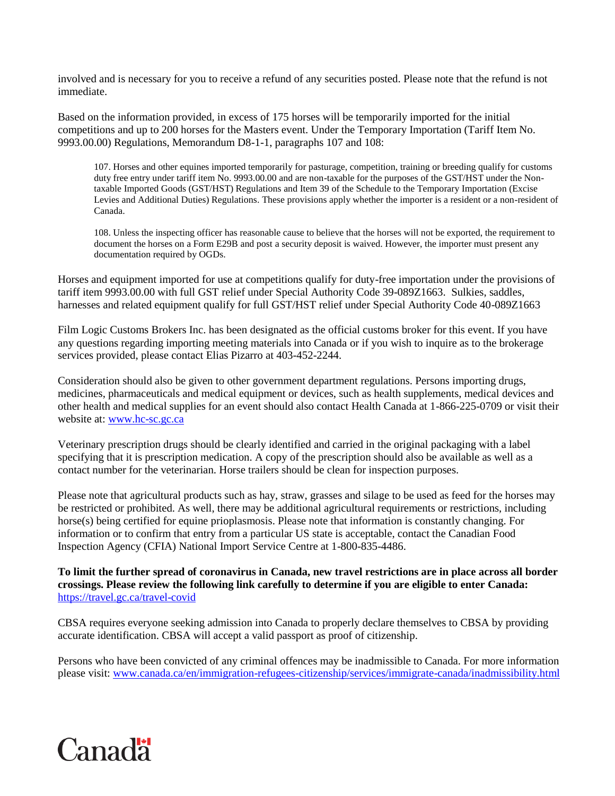involved and is necessary for you to receive a refund of any securities posted. Please note that the refund is not immediate.

Based on the information provided, in excess of 175 horses will be temporarily imported for the initial competitions and up to 200 horses for the Masters event. Under the Temporary Importation (Tariff Item No. 9993.00.00) Regulations, Memorandum D8-1-1, paragraphs 107 and 108:

107. Horses and other equines imported temporarily for pasturage, competition, training or breeding qualify for customs duty free entry under tariff item No. 9993.00.00 and are non-taxable for the purposes of the GST/HST under the Nontaxable Imported Goods (GST/HST) Regulations and Item 39 of the Schedule to the Temporary Importation (Excise Levies and Additional Duties) Regulations. These provisions apply whether the importer is a resident or a non-resident of Canada.

108. Unless the inspecting officer has reasonable cause to believe that the horses will not be exported, the requirement to document the horses on a Form E29B and post a security deposit is waived. However, the importer must present any documentation required by OGDs.

Horses and equipment imported for use at competitions qualify for duty-free importation under the provisions of tariff item 9993.00.00 with full GST relief under Special Authority Code 39-089Z1663. Sulkies, saddles, harnesses and related equipment qualify for full GST/HST relief under Special Authority Code 40-089Z1663

Film Logic Customs Brokers Inc. has been designated as the official customs broker for this event. If you have any questions regarding importing meeting materials into Canada or if you wish to inquire as to the brokerage services provided, please contact Elias Pizarro at 403-452-2244.

Consideration should also be given to other government department regulations. Persons importing drugs, medicines, pharmaceuticals and medical equipment or devices, such as health supplements, medical devices and other health and medical supplies for an event should also contact Health Canada at 1-866-225-0709 or visit their website at[: www.hc-sc.gc.ca](file:///C:/Users/kxm029/AppData/Local/Microsoft/Windows/INetCache/Content.Outlook/G28J6463/www.hc-sc.gc.ca)

Veterinary prescription drugs should be clearly identified and carried in the original packaging with a label specifying that it is prescription medication. A copy of the prescription should also be available as well as a contact number for the veterinarian. Horse trailers should be clean for inspection purposes.

Please note that agricultural products such as hay, straw, grasses and silage to be used as feed for the horses may be restricted or prohibited. As well, there may be additional agricultural requirements or restrictions, including horse(s) being certified for equine prioplasmosis. Please note that information is constantly changing. For information or to confirm that entry from a particular US state is acceptable, contact the Canadian Food Inspection Agency (CFIA) National Import Service Centre at 1-800-835-4486.

**To limit the further spread of coronavirus in Canada, new travel restrictions are in place across all border crossings. Please review the following link carefully to determine if you are eligible to enter Canada:** <https://travel.gc.ca/travel-covid>

CBSA requires everyone seeking admission into Canada to properly declare themselves to CBSA by providing accurate identification. CBSA will accept a valid passport as proof of citizenship.

Persons who have been convicted of any criminal offences may be inadmissible to Canada. For more information please visit: [www.canada.ca/en/immigration-refugees-citizenship/services/immigrate-canada/inadmissibility.html](http://www.canada.ca/en/immigration-refugees-citizenship/services/immigrate-canada/inadmissibility.html)